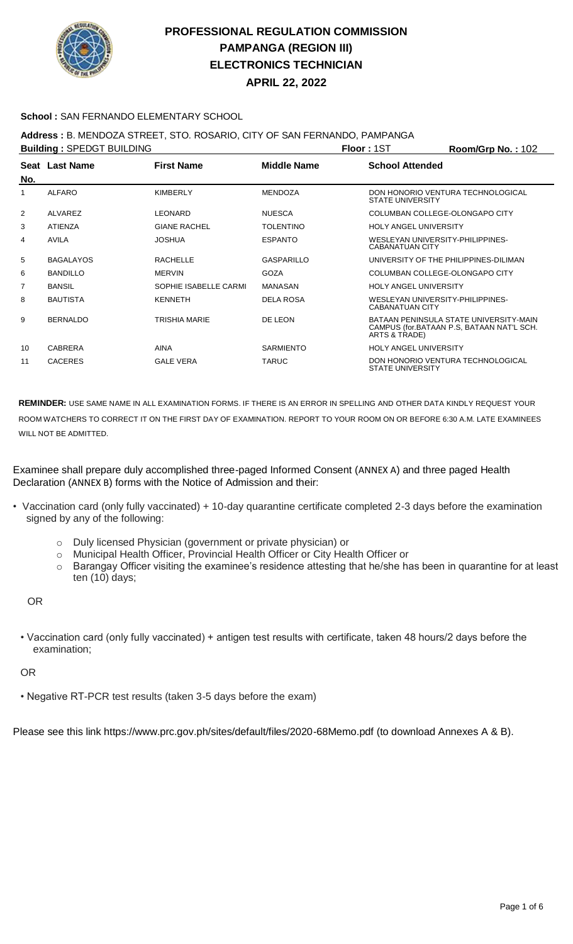

**APRIL 22, 2022**

### **School :** SAN FERNANDO ELEMENTARY SCHOOL

### **Address :** B. MENDOZA STREET, STO. ROSARIO, CITY OF SAN FERNANDO, PAMPANGA

|     | <b>Building: SPEDGT BUILDING</b> |                       |                    | <b>Floor: 1ST</b>                                          | Room/Grp No.: 102                                                                   |
|-----|----------------------------------|-----------------------|--------------------|------------------------------------------------------------|-------------------------------------------------------------------------------------|
| No. | Seat Last Name                   | <b>First Name</b>     | <b>Middle Name</b> | <b>School Attended</b>                                     |                                                                                     |
|     | <b>ALFARO</b>                    | <b>KIMBERLY</b>       | <b>MENDOZA</b>     | <b>STATE UNIVERSITY</b>                                    | DON HONORIO VENTURA TECHNOLOGICAL                                                   |
| 2   | ALVAREZ                          | LEONARD               | <b>NUESCA</b>      |                                                            | COLUMBAN COLLEGE-OLONGAPO CITY                                                      |
| 3   | <b>ATIENZA</b>                   | <b>GIANE RACHEL</b>   | <b>TOLENTINO</b>   | <b>HOLY ANGEL UNIVERSITY</b>                               |                                                                                     |
| 4   | <b>AVILA</b>                     | <b>JOSHUA</b>         | <b>ESPANTO</b>     | WESLEYAN UNIVERSITY-PHILIPPINES-<br><b>CABANATUAN CITY</b> |                                                                                     |
| 5   | <b>BAGALAYOS</b>                 | <b>RACHELLE</b>       | GASPARILLO         |                                                            | UNIVERSITY OF THE PHILIPPINES-DILIMAN                                               |
| 6   | <b>BANDILLO</b>                  | <b>MERVIN</b>         | <b>GOZA</b>        |                                                            | COLUMBAN COLLEGE-OLONGAPO CITY                                                      |
| 7   | <b>BANSIL</b>                    | SOPHIE ISABELLE CARMI | <b>MANASAN</b>     | <b>HOLY ANGEL UNIVERSITY</b>                               |                                                                                     |
| 8   | <b>BAUTISTA</b>                  | <b>KENNETH</b>        | <b>DELA ROSA</b>   | WESLEYAN UNIVERSITY-PHILIPPINES-<br><b>CABANATUAN CITY</b> |                                                                                     |
| 9   | <b>BERNALDO</b>                  | <b>TRISHIA MARIE</b>  | DE LEON            | ARTS & TRADE)                                              | BATAAN PENINSULA STATE UNIVERSITY-MAIN<br>CAMPUS (for.BATAAN P.S. BATAAN NAT'L SCH. |
| 10  | <b>CABRERA</b>                   | <b>AINA</b>           | <b>SARMIENTO</b>   | <b>HOLY ANGEL UNIVERSITY</b>                               |                                                                                     |
| 11  | <b>CACERES</b>                   | <b>GALE VERA</b>      | <b>TARUC</b>       | <b>STATE UNIVERSITY</b>                                    | DON HONORIO VENTURA TECHNOLOGICAL                                                   |

**REMINDER:** USE SAME NAME IN ALL EXAMINATION FORMS. IF THERE IS AN ERROR IN SPELLING AND OTHER DATA KINDLY REQUEST YOUR ROOM WATCHERS TO CORRECT IT ON THE FIRST DAY OF EXAMINATION. REPORT TO YOUR ROOM ON OR BEFORE 6:30 A.M. LATE EXAMINEES WILL NOT BE ADMITTED.

Examinee shall prepare duly accomplished three-paged Informed Consent (ANNEX A) and three paged Health Declaration (ANNEX B) forms with the Notice of Admission and their:

- Vaccination card (only fully vaccinated) + 10-day quarantine certificate completed 2-3 days before the examination signed by any of the following:
	- o Duly licensed Physician (government or private physician) or
	- o Municipal Health Officer, Provincial Health Officer or City Health Officer or
	- o Barangay Officer visiting the examinee's residence attesting that he/she has been in quarantine for at least ten (10) days;

OR

• Vaccination card (only fully vaccinated) + antigen test results with certificate, taken 48 hours/2 days before the examination;

OR

• Negative RT-PCR test results (taken 3-5 days before the exam)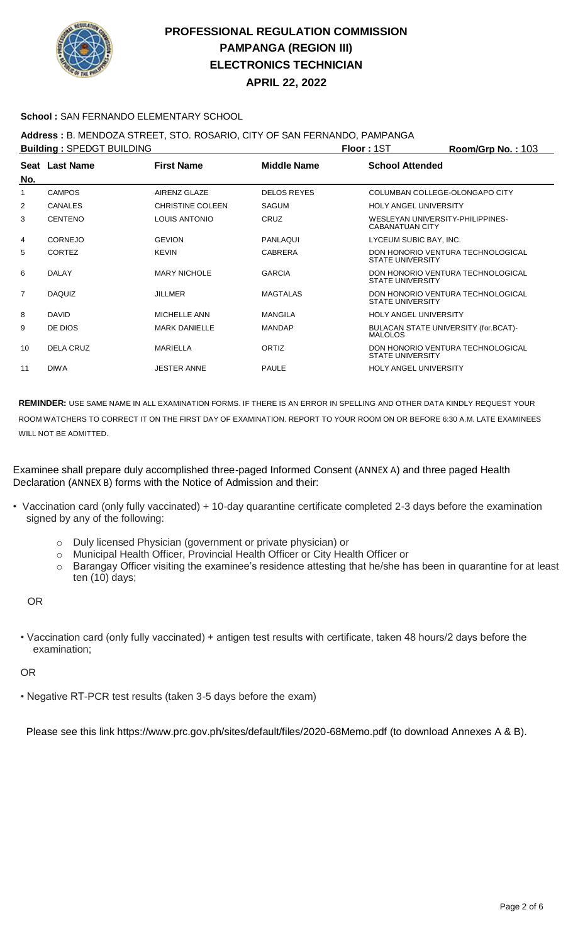

**APRIL 22, 2022**

### **School :** SAN FERNANDO ELEMENTARY SCHOOL

### **Address :** B. MENDOZA STREET, STO. ROSARIO, CITY OF SAN FERNANDO, PAMPANGA

|                | <b>Building: SPEDGT BUILDING</b> |                         |                    | <b>Floor: 1ST</b>                                          | Room/Grp No.: 103                 |
|----------------|----------------------------------|-------------------------|--------------------|------------------------------------------------------------|-----------------------------------|
| No.            | Seat Last Name                   | <b>First Name</b>       | <b>Middle Name</b> | <b>School Attended</b>                                     |                                   |
|                | <b>CAMPOS</b>                    | AIRENZ GLAZE            | <b>DELOS REYES</b> | COLUMBAN COLLEGE-OLONGAPO CITY                             |                                   |
| 2              | <b>CANALES</b>                   | <b>CHRISTINE COLEEN</b> | <b>SAGUM</b>       | <b>HOLY ANGEL UNIVERSITY</b>                               |                                   |
| 3              | <b>CENTENO</b>                   | LOUIS ANTONIO           | CRUZ               | WESLEYAN UNIVERSITY-PHILIPPINES-<br><b>CABANATUAN CITY</b> |                                   |
| 4              | <b>CORNEJO</b>                   | <b>GEVION</b>           | PANLAQUI           | LYCEUM SUBIC BAY, INC.                                     |                                   |
| 5              | <b>CORTEZ</b>                    | <b>KEVIN</b>            | <b>CABRERA</b>     | <b>STATE UNIVERSITY</b>                                    | DON HONORIO VENTURA TECHNOLOGICAL |
| 6              | <b>DALAY</b>                     | <b>MARY NICHOLE</b>     | <b>GARCIA</b>      | <b>STATE UNIVERSITY</b>                                    | DON HONORIO VENTURA TECHNOLOGICAL |
| $\overline{7}$ | <b>DAQUIZ</b>                    | <b>JILLMER</b>          | <b>MAGTALAS</b>    | <b>STATE UNIVERSITY</b>                                    | DON HONORIO VENTURA TECHNOLOGICAL |
| 8              | <b>DAVID</b>                     | MICHELLE ANN            | <b>MANGILA</b>     | <b>HOLY ANGEL UNIVERSITY</b>                               |                                   |
| 9              | DE DIOS                          | <b>MARK DANIELLE</b>    | <b>MANDAP</b>      | BULACAN STATE UNIVERSITY (for.BCAT)-<br><b>MALOLOS</b>     |                                   |
| 10             | DELA CRUZ                        | MARIELLA                | ORTIZ              | <b>STATE UNIVERSITY</b>                                    | DON HONORIO VENTURA TECHNOLOGICAL |
| 11             | <b>DIWA</b>                      | <b>JESTER ANNE</b>      | <b>PAULE</b>       | <b>HOLY ANGEL UNIVERSITY</b>                               |                                   |
|                |                                  |                         |                    |                                                            |                                   |

**REMINDER:** USE SAME NAME IN ALL EXAMINATION FORMS. IF THERE IS AN ERROR IN SPELLING AND OTHER DATA KINDLY REQUEST YOUR ROOM WATCHERS TO CORRECT IT ON THE FIRST DAY OF EXAMINATION. REPORT TO YOUR ROOM ON OR BEFORE 6:30 A.M. LATE EXAMINEES WILL NOT BE ADMITTED.

Examinee shall prepare duly accomplished three-paged Informed Consent (ANNEX A) and three paged Health Declaration (ANNEX B) forms with the Notice of Admission and their:

- Vaccination card (only fully vaccinated) + 10-day quarantine certificate completed 2-3 days before the examination signed by any of the following:
	- o Duly licensed Physician (government or private physician) or
	- o Municipal Health Officer, Provincial Health Officer or City Health Officer or
	- o Barangay Officer visiting the examinee's residence attesting that he/she has been in quarantine for at least ten (10) days;

#### OR

• Vaccination card (only fully vaccinated) + antigen test results with certificate, taken 48 hours/2 days before the examination;

#### OR

• Negative RT-PCR test results (taken 3-5 days before the exam)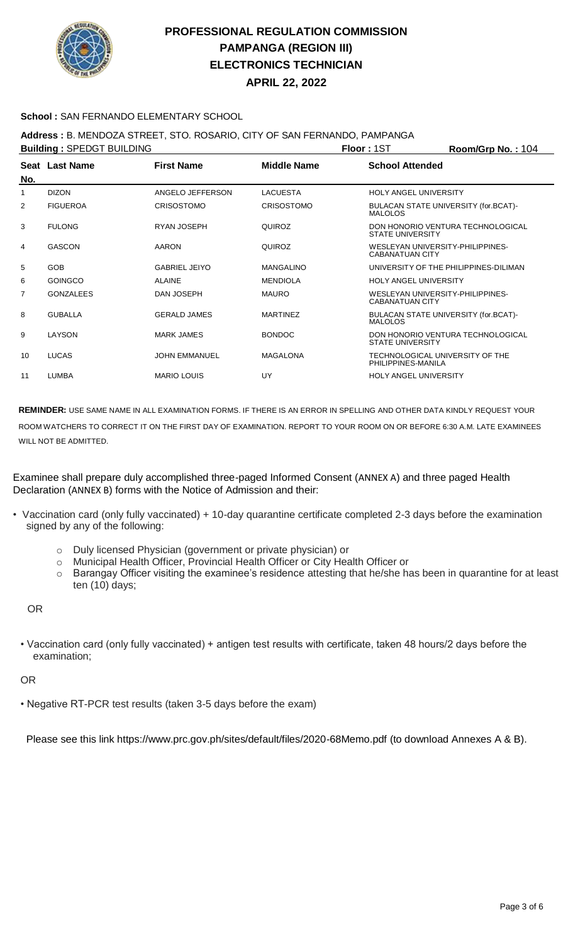

**APRIL 22, 2022**

#### **School :** SAN FERNANDO ELEMENTARY SCHOOL

### **Address :** B. MENDOZA STREET, STO. ROSARIO, CITY OF SAN FERNANDO, PAMPANGA

|                  |                      |                                  |                         | Room/Grp No.: 104                                                                                                                                                                                                                                                                                                                                                                                                               |
|------------------|----------------------|----------------------------------|-------------------------|---------------------------------------------------------------------------------------------------------------------------------------------------------------------------------------------------------------------------------------------------------------------------------------------------------------------------------------------------------------------------------------------------------------------------------|
| Seat Last Name   | <b>First Name</b>    | <b>Middle Name</b>               | <b>School Attended</b>  |                                                                                                                                                                                                                                                                                                                                                                                                                                 |
| <b>DIZON</b>     | ANGELO JEFFERSON     | <b>LACUESTA</b>                  |                         |                                                                                                                                                                                                                                                                                                                                                                                                                                 |
| <b>FIGUEROA</b>  | <b>CRISOSTOMO</b>    | <b>CRISOSTOMO</b>                | MALOLOS                 |                                                                                                                                                                                                                                                                                                                                                                                                                                 |
| <b>FULONG</b>    | RYAN JOSEPH          | QUIROZ                           | <b>STATE UNIVERSITY</b> |                                                                                                                                                                                                                                                                                                                                                                                                                                 |
| <b>GASCON</b>    | AARON                | QUIROZ                           | CABANATUAN CITY         |                                                                                                                                                                                                                                                                                                                                                                                                                                 |
| <b>GOB</b>       | <b>GABRIEL JEIYO</b> | <b>MANGALINO</b>                 |                         |                                                                                                                                                                                                                                                                                                                                                                                                                                 |
| <b>GOINGCO</b>   | <b>ALAINE</b>        | <b>MENDIOLA</b>                  |                         |                                                                                                                                                                                                                                                                                                                                                                                                                                 |
| <b>GONZALEES</b> | DAN JOSEPH           | <b>MAURO</b>                     | <b>CABANATUAN CITY</b>  |                                                                                                                                                                                                                                                                                                                                                                                                                                 |
| <b>GUBALLA</b>   | <b>GERALD JAMES</b>  | <b>MARTINEZ</b>                  | <b>MALOLOS</b>          |                                                                                                                                                                                                                                                                                                                                                                                                                                 |
| LAYSON           | <b>MARK JAMES</b>    | <b>BONDOC</b>                    | <b>STATE UNIVERSITY</b> |                                                                                                                                                                                                                                                                                                                                                                                                                                 |
| <b>LUCAS</b>     | <b>JOHN EMMANUEL</b> | MAGALONA                         | PHILIPPINES-MANILA      |                                                                                                                                                                                                                                                                                                                                                                                                                                 |
| <b>LUMBA</b>     | <b>MARIO LOUIS</b>   | UY                               |                         |                                                                                                                                                                                                                                                                                                                                                                                                                                 |
|                  |                      | <b>Building: SPEDGT BUILDING</b> |                         | <b>Floor: 1ST</b><br><b>HOLY ANGEL UNIVERSITY</b><br>BULACAN STATE UNIVERSITY (for.BCAT)-<br>DON HONORIO VENTURA TECHNOLOGICAL<br>WESLEYAN UNIVERSITY-PHILIPPINES-<br>UNIVERSITY OF THE PHILIPPINES-DILIMAN<br><b>HOLY ANGEL UNIVERSITY</b><br>WESLEYAN UNIVERSITY-PHILIPPINES-<br>BULACAN STATE UNIVERSITY (for.BCAT)-<br>DON HONORIO VENTURA TECHNOLOGICAL<br>TECHNOLOGICAL UNIVERSITY OF THE<br><b>HOLY ANGEL UNIVERSITY</b> |

**REMINDER:** USE SAME NAME IN ALL EXAMINATION FORMS. IF THERE IS AN ERROR IN SPELLING AND OTHER DATA KINDLY REQUEST YOUR ROOM WATCHERS TO CORRECT IT ON THE FIRST DAY OF EXAMINATION. REPORT TO YOUR ROOM ON OR BEFORE 6:30 A.M. LATE EXAMINEES WILL NOT BE ADMITTED.

Examinee shall prepare duly accomplished three-paged Informed Consent (ANNEX A) and three paged Health Declaration (ANNEX B) forms with the Notice of Admission and their:

- Vaccination card (only fully vaccinated) + 10-day quarantine certificate completed 2-3 days before the examination signed by any of the following:
	- o Duly licensed Physician (government or private physician) or
	- o Municipal Health Officer, Provincial Health Officer or City Health Officer or
	- o Barangay Officer visiting the examinee's residence attesting that he/she has been in quarantine for at least ten (10) days;

OR

• Vaccination card (only fully vaccinated) + antigen test results with certificate, taken 48 hours/2 days before the examination;

OR

• Negative RT-PCR test results (taken 3-5 days before the exam)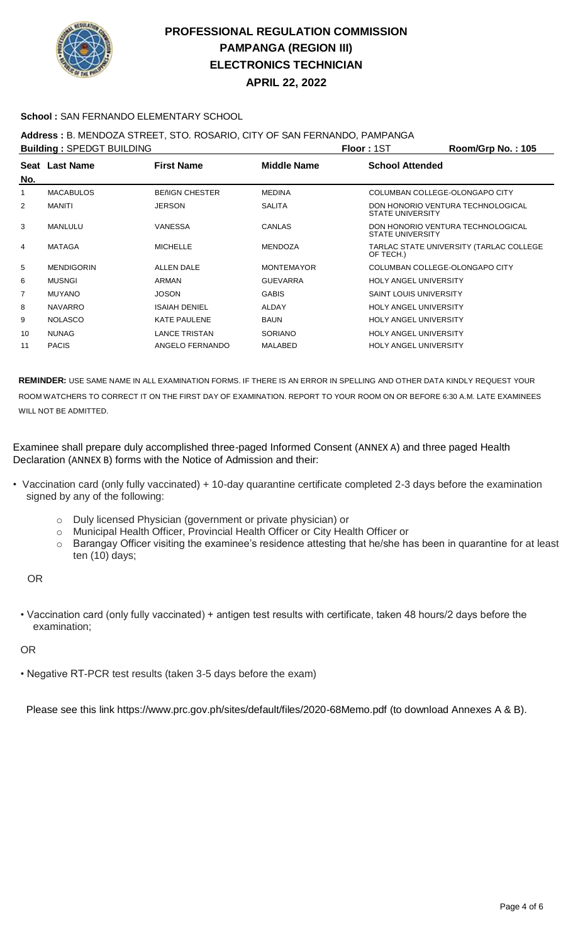

**APRIL 22, 2022**

#### **School :** SAN FERNANDO ELEMENTARY SCHOOL

### **Address :** B. MENDOZA STREET, STO. ROSARIO, CITY OF SAN FERNANDO, PAMPANGA

|                | <b>Building: SPEDGT BUILDING</b> |                       |                    | <b>Floor: 1ST</b>              | Room/Grp No.: 105                       |
|----------------|----------------------------------|-----------------------|--------------------|--------------------------------|-----------------------------------------|
| No.            | Seat Last Name                   | <b>First Name</b>     | <b>Middle Name</b> | <b>School Attended</b>         |                                         |
|                | <b>MACABULOS</b>                 | <b>BENIGN CHESTER</b> | <b>MEDINA</b>      | COLUMBAN COLLEGE-OLONGAPO CITY |                                         |
| 2              | <b>MANITI</b>                    | <b>JERSON</b>         | <b>SALITA</b>      | <b>STATE UNIVERSITY</b>        | DON HONORIO VENTURA TECHNOLOGICAL       |
| 3              | MANLULU                          | <b>VANESSA</b>        | CANLAS             | <b>STATE UNIVERSITY</b>        | DON HONORIO VENTURA TECHNOLOGICAL       |
| 4              | MATAGA                           | <b>MICHELLE</b>       | <b>MENDOZA</b>     | OF TECH.)                      | TARLAC STATE UNIVERSITY (TARLAC COLLEGE |
| 5              | <b>MENDIGORIN</b>                | <b>ALLEN DALE</b>     | <b>MONTEMAYOR</b>  | COLUMBAN COLLEGE-OLONGAPO CITY |                                         |
| 6              | <b>MUSNGI</b>                    | <b>ARMAN</b>          | <b>GUEVARRA</b>    | <b>HOLY ANGEL UNIVERSITY</b>   |                                         |
| $\overline{7}$ | <b>MUYANO</b>                    | <b>JOSON</b>          | <b>GABIS</b>       | <b>SAINT LOUIS UNIVERSITY</b>  |                                         |
| 8              | <b>NAVARRO</b>                   | <b>ISAIAH DENIEL</b>  | <b>ALDAY</b>       | <b>HOLY ANGEL UNIVERSITY</b>   |                                         |
| 9              | <b>NOLASCO</b>                   | <b>KATE PAULENE</b>   | <b>BAUN</b>        | <b>HOLY ANGEL UNIVERSITY</b>   |                                         |
| 10             | <b>NUNAG</b>                     | <b>LANCE TRISTAN</b>  | <b>SORIANO</b>     | <b>HOLY ANGEL UNIVERSITY</b>   |                                         |
| 11             | <b>PACIS</b>                     | ANGELO FERNANDO       | <b>MALABED</b>     | <b>HOLY ANGEL UNIVERSITY</b>   |                                         |
|                |                                  |                       |                    |                                |                                         |

**REMINDER:** USE SAME NAME IN ALL EXAMINATION FORMS. IF THERE IS AN ERROR IN SPELLING AND OTHER DATA KINDLY REQUEST YOUR ROOM WATCHERS TO CORRECT IT ON THE FIRST DAY OF EXAMINATION. REPORT TO YOUR ROOM ON OR BEFORE 6:30 A.M. LATE EXAMINEES WILL NOT BE ADMITTED.

Examinee shall prepare duly accomplished three-paged Informed Consent (ANNEX A) and three paged Health Declaration (ANNEX B) forms with the Notice of Admission and their:

- Vaccination card (only fully vaccinated) + 10-day quarantine certificate completed 2-3 days before the examination signed by any of the following:
	- o Duly licensed Physician (government or private physician) or
	- o Municipal Health Officer, Provincial Health Officer or City Health Officer or
	- o Barangay Officer visiting the examinee's residence attesting that he/she has been in quarantine for at least ten (10) days;

OR

• Vaccination card (only fully vaccinated) + antigen test results with certificate, taken 48 hours/2 days before the examination;

OR

• Negative RT-PCR test results (taken 3-5 days before the exam)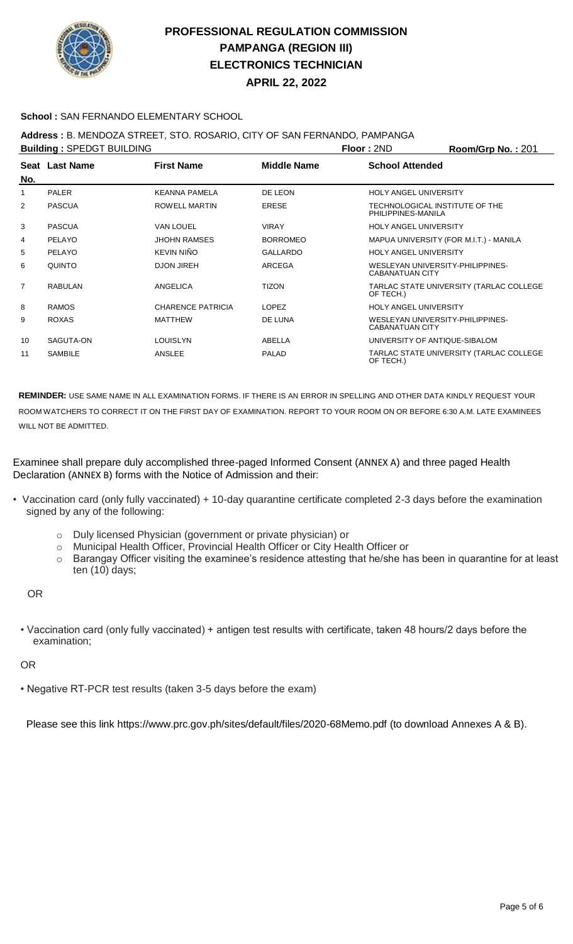

**APRIL 22, 2022**

#### **School :** SAN FERNANDO ELEMENTARY SCHOOL

### **Address :** B. MENDOZA STREET, STO. ROSARIO, CITY OF SAN FERNANDO, PAMPANGA

| <b>Building: SPEDGT BUILDING</b> |                |                          |                    | <b>Floor: 2ND</b>                                          | Room/Grp No.: 201                       |
|----------------------------------|----------------|--------------------------|--------------------|------------------------------------------------------------|-----------------------------------------|
| No.                              | Seat Last Name | <b>First Name</b>        | <b>Middle Name</b> | <b>School Attended</b>                                     |                                         |
|                                  | <b>PALER</b>   | <b>KEANNA PAMELA</b>     | DE LEON            | <b>HOLY ANGEL UNIVERSITY</b>                               |                                         |
| 2                                | <b>PASCUA</b>  | <b>ROWELL MARTIN</b>     | <b>ERESE</b>       | TECHNOLOGICAL INSTITUTE OF THE<br>PHILIPPINES-MANILA       |                                         |
| 3                                | <b>PASCUA</b>  | <b>VAN LOUEL</b>         | <b>VIRAY</b>       | <b>HOLY ANGEL UNIVERSITY</b>                               |                                         |
| 4                                | PELAYO         | <b>JHOHN RAMSES</b>      | <b>BORROMEO</b>    |                                                            | MAPUA UNIVERSITY (FOR M.I.T.) - MANILA  |
| 5                                | PELAYO         | KEVIN NIÑO               | <b>GALLARDO</b>    | <b>HOLY ANGEL UNIVERSITY</b>                               |                                         |
| 6                                | QUINTO         | <b>DJON JIREH</b>        | ARCEGA             | WESLEYAN UNIVERSITY-PHILIPPINES-<br><b>CABANATUAN CITY</b> |                                         |
| $\overline{7}$                   | <b>RABULAN</b> | ANGELICA                 | <b>TIZON</b>       | OF TECH.)                                                  | TARLAC STATE UNIVERSITY (TARLAC COLLEGE |
| 8                                | <b>RAMOS</b>   | <b>CHARENCE PATRICIA</b> | <b>LOPEZ</b>       | <b>HOLY ANGEL UNIVERSITY</b>                               |                                         |
| 9                                | <b>ROXAS</b>   | <b>MATTHEW</b>           | DE LUNA            | WESLEYAN UNIVERSITY-PHILIPPINES-<br><b>CABANATUAN CITY</b> |                                         |
| 10                               | SAGUTA-ON      | <b>LOUISLYN</b>          | ABELLA             | UNIVERSITY OF ANTIQUE-SIBALOM                              |                                         |
| 11                               | <b>SAMBILE</b> | ANSLEE                   | <b>PALAD</b>       | OF TECH.)                                                  | TARLAC STATE UNIVERSITY (TARLAC COLLEGE |

**REMINDER:** USE SAME NAME IN ALL EXAMINATION FORMS. IF THERE IS AN ERROR IN SPELLING AND OTHER DATA KINDLY REQUEST YOUR ROOM WATCHERS TO CORRECT IT ON THE FIRST DAY OF EXAMINATION. REPORT TO YOUR ROOM ON OR BEFORE 6:30 A.M. LATE EXAMINEES WILL NOT BE ADMITTED.

#### Examinee shall prepare duly accomplished three-paged Informed Consent (ANNEX A) and three paged Health Declaration (ANNEX B) forms with the Notice of Admission and their:

- Vaccination card (only fully vaccinated) + 10-day quarantine certificate completed 2-3 days before the examination signed by any of the following:
	- o Duly licensed Physician (government or private physician) or
	- o Municipal Health Officer, Provincial Health Officer or City Health Officer or
	- o Barangay Officer visiting the examinee's residence attesting that he/she has been in quarantine for at least ten (10) days;

OR

• Vaccination card (only fully vaccinated) + antigen test results with certificate, taken 48 hours/2 days before the examination;

OR

• Negative RT-PCR test results (taken 3-5 days before the exam)